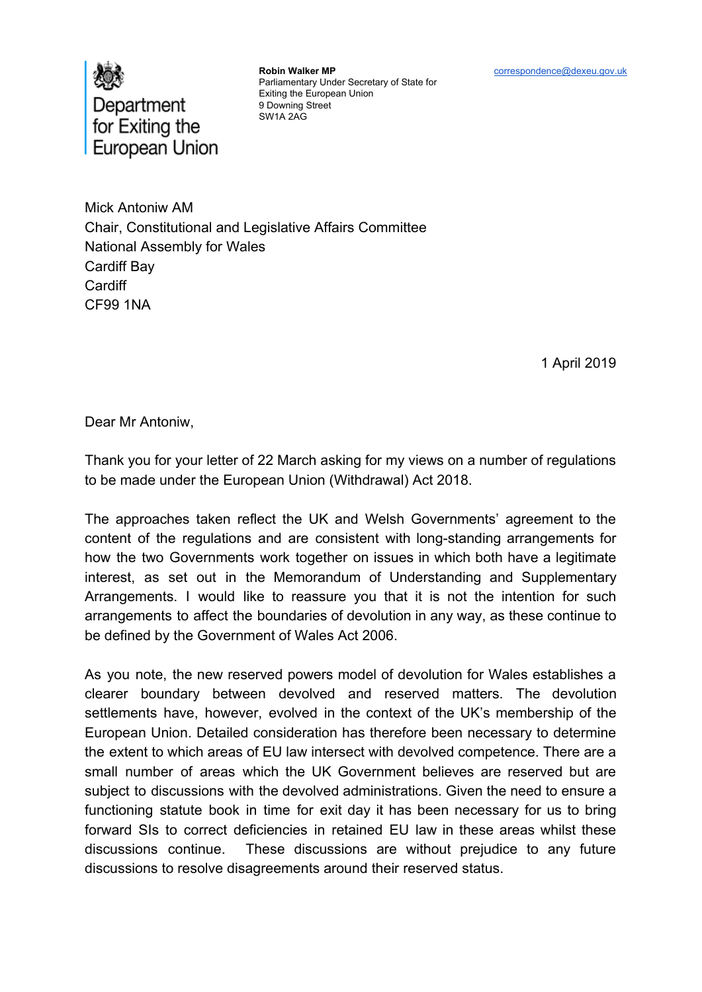



**Robin Walker MP** Parliamentary Under Secretary of State for Exiting the European Union 9 Downing Street SW1A 2AG

Mick Antoniw AM Chair, Constitutional and Legislative Affairs Committee National Assembly for Wales Cardiff Bay **Cardiff** CF99 1NA

1 April 2019

Dear Mr Antoniw,

Thank you for your letter of 22 March asking for my views on a number of regulations to be made under the European Union (Withdrawal) Act 2018.

The approaches taken reflect the UK and Welsh Governments' agreement to the content of the regulations and are consistent with long-standing arrangements for how the two Governments work together on issues in which both have a legitimate interest, as set out in the Memorandum of Understanding and Supplementary Arrangements. I would like to reassure you that it is not the intention for such arrangements to affect the boundaries of devolution in any way, as these continue to be defined by the Government of Wales Act 2006.

As you note, the new reserved powers model of devolution for Wales establishes a clearer boundary between devolved and reserved matters. The devolution settlements have, however, evolved in the context of the UK's membership of the European Union. Detailed consideration has therefore been necessary to determine the extent to which areas of EU law intersect with devolved competence. There are a small number of areas which the UK Government believes are reserved but are subject to discussions with the devolved administrations. Given the need to ensure a functioning statute book in time for exit day it has been necessary for us to bring forward SIs to correct deficiencies in retained EU law in these areas whilst these discussions continue. These discussions are without prejudice to any future discussions to resolve disagreements around their reserved status.